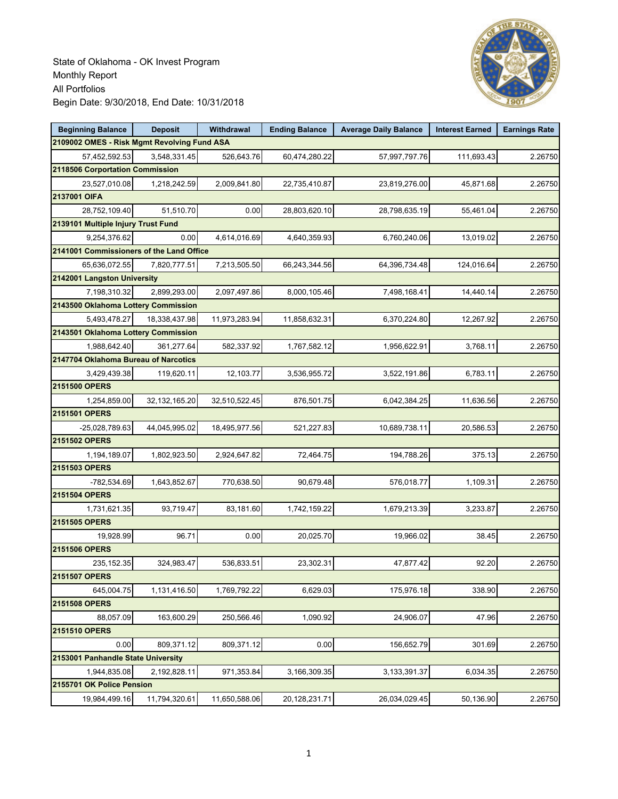

| <b>Beginning Balance</b>                    | <b>Deposit</b>   | Withdrawal    | <b>Ending Balance</b> | <b>Average Daily Balance</b> | <b>Interest Earned</b> | <b>Earnings Rate</b> |  |  |
|---------------------------------------------|------------------|---------------|-----------------------|------------------------------|------------------------|----------------------|--|--|
| 2109002 OMES - Risk Mgmt Revolving Fund ASA |                  |               |                       |                              |                        |                      |  |  |
| 57,452,592.53                               | 3,548,331.45     | 526,643.76    | 60,474,280.22         | 57,997,797.76                | 111,693.43             | 2.26750              |  |  |
| 2118506 Corportation Commission             |                  |               |                       |                              |                        |                      |  |  |
| 23,527,010.08                               | 1,218,242.59     | 2,009,841.80  | 22,735,410.87         | 23,819,276.00                | 45,871.68              | 2.26750              |  |  |
| 2137001 OIFA                                |                  |               |                       |                              |                        |                      |  |  |
| 28,752,109.40                               | 51,510.70        | 0.00          | 28,803,620.10         | 28,798,635.19                | 55,461.04              | 2.26750              |  |  |
| 2139101 Multiple Injury Trust Fund          |                  |               |                       |                              |                        |                      |  |  |
| 9,254,376.62                                | 0.00             | 4,614,016.69  | 4,640,359.93          | 6,760,240.06                 | 13,019.02              | 2.26750              |  |  |
| 2141001 Commissioners of the Land Office    |                  |               |                       |                              |                        |                      |  |  |
| 65,636,072.55                               | 7,820,777.51     | 7,213,505.50  | 66,243,344.56         | 64,396,734.48                | 124,016.64             | 2.26750              |  |  |
| 2142001 Langston University                 |                  |               |                       |                              |                        |                      |  |  |
| 7,198,310.32                                | 2,899,293.00     | 2,097,497.86  | 8,000,105.46          | 7,498,168.41                 | 14,440.14              | 2.26750              |  |  |
| 2143500 Oklahoma Lottery Commission         |                  |               |                       |                              |                        |                      |  |  |
| 5,493,478.27                                | 18,338,437.98    | 11,973,283.94 | 11,858,632.31         | 6,370,224.80                 | 12,267.92              | 2.26750              |  |  |
| 2143501 Oklahoma Lottery Commission         |                  |               |                       |                              |                        |                      |  |  |
| 1,988,642.40                                | 361,277.64       | 582,337.92    | 1,767,582.12          | 1,956,622.91                 | 3,768.11               | 2.26750              |  |  |
| 2147704 Oklahoma Bureau of Narcotics        |                  |               |                       |                              |                        |                      |  |  |
| 3,429,439.38                                | 119,620.11       | 12,103.77     | 3,536,955.72          | 3,522,191.86                 | 6,783.11               | 2.26750              |  |  |
| 2151500 OPERS                               |                  |               |                       |                              |                        |                      |  |  |
| 1,254,859.00                                | 32, 132, 165. 20 | 32,510,522.45 | 876,501.75            | 6,042,384.25                 | 11,636.56              | 2.26750              |  |  |
| 2151501 OPERS                               |                  |               |                       |                              |                        |                      |  |  |
| -25,028,789.63                              | 44,045,995.02    | 18,495,977.56 | 521,227.83            | 10,689,738.11                | 20,586.53              | 2.26750              |  |  |
| 2151502 OPERS                               |                  |               |                       |                              |                        |                      |  |  |
| 1,194,189.07                                | 1,802,923.50     | 2,924,647.82  | 72,464.75             | 194,788.26                   | 375.13                 | 2.26750              |  |  |
| 2151503 OPERS                               |                  |               |                       |                              |                        |                      |  |  |
| -782,534.69                                 | 1,643,852.67     | 770,638.50    | 90,679.48             | 576,018.77                   | 1,109.31               | 2.26750              |  |  |
| 2151504 OPERS                               |                  |               |                       |                              |                        |                      |  |  |
| 1,731,621.35                                | 93,719.47        | 83,181.60     | 1,742,159.22          | 1,679,213.39                 | 3,233.87               | 2.26750              |  |  |
| 2151505 OPERS                               |                  |               |                       |                              |                        |                      |  |  |
| 19,928.99                                   | 96.71            | 0.00          | 20,025.70             | 19,966.02                    | 38.45                  | 2.26750              |  |  |
| 2151506 OPERS                               |                  |               |                       |                              |                        |                      |  |  |
| 235, 152.35                                 | 324,983.47       | 536,833.51    | 23,302.31             | 47,877.42                    | 92.20                  | 2.26750              |  |  |
| 2151507 OPERS                               |                  |               |                       |                              |                        |                      |  |  |
| 645,004.75                                  | 1,131,416.50     | 1,769,792.22  | 6,629.03              | 175,976.18                   | 338.90                 | 2.26750              |  |  |
| 2151508 OPERS                               |                  |               |                       |                              |                        |                      |  |  |
| 88.057.09                                   | 163,600.29       | 250,566.46    | 1,090.92              | 24,906.07                    | 47.96                  | 2.26750              |  |  |
| 2151510 OPERS                               |                  |               |                       |                              |                        |                      |  |  |
| 0.00                                        | 809,371.12       | 809,371.12    | 0.00                  | 156,652.79                   | 301.69                 | 2.26750              |  |  |
| 2153001 Panhandle State University          |                  |               |                       |                              |                        |                      |  |  |
| 1,944,835.08                                | 2,192,828.11     | 971,353.84    | 3,166,309.35          | 3,133,391.37                 | 6,034.35               | 2.26750              |  |  |
| 2155701 OK Police Pension                   |                  |               |                       |                              |                        |                      |  |  |
| 19,984,499.16                               | 11,794,320.61    | 11,650,588.06 | 20,128,231.71         | 26,034,029.45                | 50,136.90              | 2.26750              |  |  |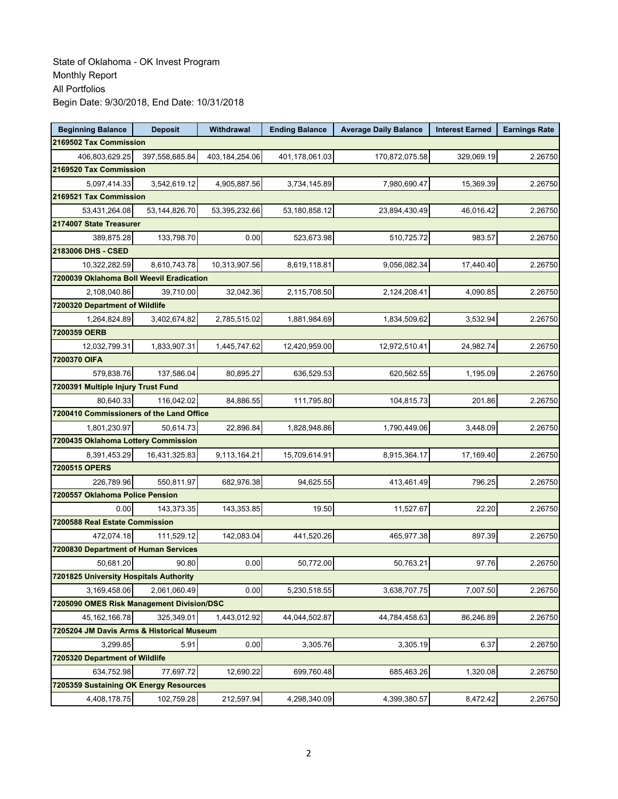| <b>Beginning Balance</b>                  | <b>Deposit</b>   | Withdrawal     | <b>Ending Balance</b> | <b>Average Daily Balance</b> | <b>Interest Earned</b> | <b>Earnings Rate</b> |  |  |
|-------------------------------------------|------------------|----------------|-----------------------|------------------------------|------------------------|----------------------|--|--|
| 2169502 Tax Commission                    |                  |                |                       |                              |                        |                      |  |  |
| 406.803.629.25                            | 397,558,685.84   | 403,184,254.06 | 401,178,061.03        | 170,872,075.58               | 329,069.19             | 2.26750              |  |  |
| 2169520 Tax Commission                    |                  |                |                       |                              |                        |                      |  |  |
| 5,097,414.33                              | 3,542,619.12     | 4,905,887.56   | 3,734,145.89          | 7,980,690.47                 | 15,369.39              | 2.26750              |  |  |
| 2169521 Tax Commission                    |                  |                |                       |                              |                        |                      |  |  |
| 53,431,264.08                             | 53, 144, 826. 70 | 53,395,232.66  | 53, 180, 858. 12      | 23,894,430.49                | 46,016.42              | 2.26750              |  |  |
| 2174007 State Treasurer                   |                  |                |                       |                              |                        |                      |  |  |
| 389,875.28                                | 133,798.70       | 0.00           | 523,673.98            | 510,725.72                   | 983.57                 | 2.26750              |  |  |
| 2183006 DHS - CSED                        |                  |                |                       |                              |                        |                      |  |  |
| 10,322,282.59                             | 8,610,743.78     | 10,313,907.56  | 8,619,118.81          | 9,056,082.34                 | 17,440.40              | 2.26750              |  |  |
| 7200039 Oklahoma Boll Weevil Eradication  |                  |                |                       |                              |                        |                      |  |  |
| 2,108,040.86                              | 39,710.00        | 32,042.36      | 2,115,708.50          | 2,124,208.41                 | 4,090.85               | 2.26750              |  |  |
| 7200320 Department of Wildlife            |                  |                |                       |                              |                        |                      |  |  |
| 1,264,824.89                              | 3,402,674.82     | 2,785,515.02   | 1,881,984.69          | 1,834,509.62                 | 3,532.94               | 2.26750              |  |  |
| 7200359 OERB                              |                  |                |                       |                              |                        |                      |  |  |
| 12,032,799.31                             | 1,833,907.31     | 1,445,747.62   | 12,420,959.00         | 12,972,510.41                | 24,982.74              | 2.26750              |  |  |
| 7200370 OIFA                              |                  |                |                       |                              |                        |                      |  |  |
| 579,838.76                                | 137,586.04       | 80,895.27      | 636,529.53            | 620,562.55                   | 1,195.09               | 2.26750              |  |  |
| 7200391 Multiple Injury Trust Fund        |                  |                |                       |                              |                        |                      |  |  |
| 80,640.33                                 | 116,042.02       | 84,886.55      | 111,795.80            | 104,815.73                   | 201.86                 | 2.26750              |  |  |
| 7200410 Commissioners of the Land Office  |                  |                |                       |                              |                        |                      |  |  |
| 1,801,230.97                              | 50,614.73        | 22,896.84      | 1,828,948.86          | 1,790,449.06                 | 3,448.09               | 2.26750              |  |  |
| 7200435 Oklahoma Lottery Commission       |                  |                |                       |                              |                        |                      |  |  |
| 8,391,453.29                              | 16,431,325.83    | 9,113,164.21   | 15,709,614.91         | 8,915,364.17                 | 17,169.40              | 2.26750              |  |  |
| 7200515 OPERS                             |                  |                |                       |                              |                        |                      |  |  |
| 226,789.96                                | 550,811.97       | 682,976.38     | 94,625.55             | 413,461.49                   | 796.25                 | 2.26750              |  |  |
| 7200557 Oklahoma Police Pension           |                  |                |                       |                              |                        |                      |  |  |
| 0.00                                      | 143,373.35       | 143,353.85     | 19.50                 | 11,527.67                    | 22.20                  | 2.26750              |  |  |
| 7200588 Real Estate Commission            |                  |                |                       |                              |                        |                      |  |  |
| 472,074.18                                | 111,529.12       | 142,083.04     | 441,520.26            | 465,977.38                   | 897.39                 | 2.26750              |  |  |
| 7200830 Department of Human Services      |                  |                |                       |                              |                        |                      |  |  |
| 50,681.20                                 | 90.80            | 0.00           | 50,772.00             | 50,763.21                    | 97.76                  | 2.26750              |  |  |
| 7201825 University Hospitals Authority    |                  |                |                       |                              |                        |                      |  |  |
| 3,169,458.06                              | 2,061,060.49     | 0.00           | 5,230,518.55          | 3,638,707.75                 | 7,007.50               | 2.26750              |  |  |
| 7205090 OMES Risk Management Division/DSC |                  |                |                       |                              |                        |                      |  |  |
| 45, 162, 166. 78                          | 325,349.01       | 1,443,012.92   | 44,044,502.87         | 44,784,458.63                | 86,246.89              | 2.26750              |  |  |
| 7205204 JM Davis Arms & Historical Museum |                  |                |                       |                              |                        |                      |  |  |
| 3,299.85                                  | 5.91             | 0.00           | 3,305.76              | 3,305.19                     | 6.37                   | 2.26750              |  |  |
| 7205320 Department of Wildlife            |                  |                |                       |                              |                        |                      |  |  |
| 634,752.98                                | 77,697.72        | 12,690.22      | 699,760.48            | 685,463.26                   | 1,320.08               | 2.26750              |  |  |
| 7205359 Sustaining OK Energy Resources    |                  |                |                       |                              |                        |                      |  |  |
| 4,408,178.75                              | 102,759.28       | 212,597.94     | 4,298,340.09          | 4,399,380.57                 | 8,472.42               | 2.26750              |  |  |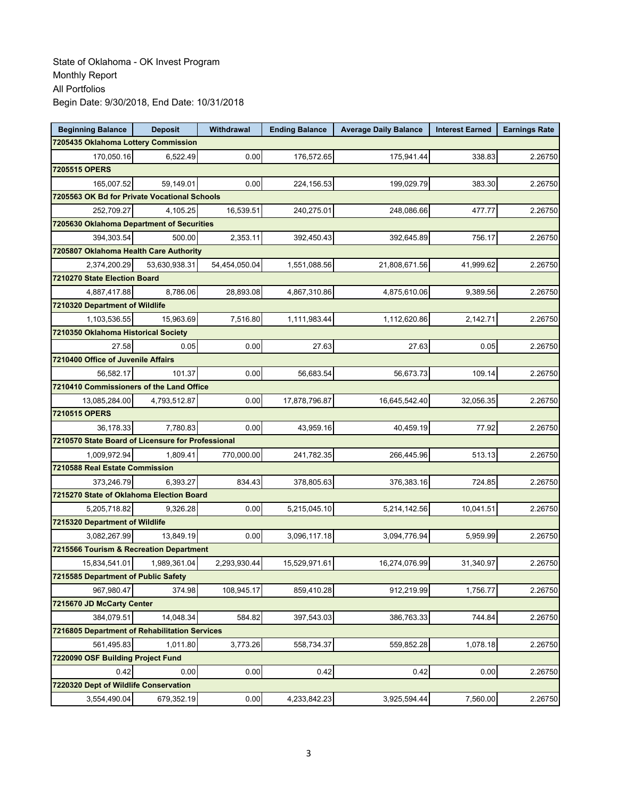| <b>Beginning Balance</b>                          | <b>Deposit</b>                         | Withdrawal    | <b>Ending Balance</b> | <b>Average Daily Balance</b> | <b>Interest Earned</b> | <b>Earnings Rate</b> |  |  |  |  |
|---------------------------------------------------|----------------------------------------|---------------|-----------------------|------------------------------|------------------------|----------------------|--|--|--|--|
| 7205435 Oklahoma Lottery Commission               |                                        |               |                       |                              |                        |                      |  |  |  |  |
| 170,050.16                                        | 6,522.49                               | 0.00          | 176,572.65            | 175,941.44                   | 338.83                 | 2.26750              |  |  |  |  |
| 7205515 OPERS                                     |                                        |               |                       |                              |                        |                      |  |  |  |  |
| 165,007.52                                        | 59,149.01                              | 0.00          | 224,156.53            | 199,029.79                   | 383.30                 | 2.26750              |  |  |  |  |
| 7205563 OK Bd for Private Vocational Schools      |                                        |               |                       |                              |                        |                      |  |  |  |  |
| 252,709.27                                        | 4,105.25                               | 16,539.51     | 240,275.01            | 248,086.66                   | 477.77                 | 2.26750              |  |  |  |  |
| 7205630 Oklahoma Department of Securities         |                                        |               |                       |                              |                        |                      |  |  |  |  |
| 394,303.54                                        | 500.00                                 | 2,353.11      | 392,450.43            | 392,645.89                   | 756.17                 | 2.26750              |  |  |  |  |
|                                                   | 7205807 Oklahoma Health Care Authority |               |                       |                              |                        |                      |  |  |  |  |
| 2,374,200.29                                      | 53,630,938.31                          | 54,454,050.04 | 1,551,088.56          | 21,808,671.56                | 41,999.62              | 2.26750              |  |  |  |  |
| 7210270 State Election Board                      |                                        |               |                       |                              |                        |                      |  |  |  |  |
| 4,887,417.88                                      | 8,786.06                               | 28,893.08     | 4,867,310.86          | 4,875,610.06                 | 9,389.56               | 2.26750              |  |  |  |  |
| 7210320 Department of Wildlife                    |                                        |               |                       |                              |                        |                      |  |  |  |  |
| 1,103,536.55                                      | 15,963.69                              | 7,516.80      | 1,111,983.44          | 1,112,620.86                 | 2,142.71               | 2.26750              |  |  |  |  |
| 7210350 Oklahoma Historical Society               |                                        |               |                       |                              |                        |                      |  |  |  |  |
| 27.58                                             | 0.05                                   | 0.00          | 27.63                 | 27.63                        | 0.05                   | 2.26750              |  |  |  |  |
| 7210400 Office of Juvenile Affairs                |                                        |               |                       |                              |                        |                      |  |  |  |  |
| 56,582.17                                         | 101.37                                 | 0.00          | 56,683.54             | 56,673.73                    | 109.14                 | 2.26750              |  |  |  |  |
| 7210410 Commissioners of the Land Office          |                                        |               |                       |                              |                        |                      |  |  |  |  |
| 13,085,284.00                                     | 4,793,512.87                           | 0.00          | 17,878,796.87         | 16,645,542.40                | 32,056.35              | 2.26750              |  |  |  |  |
| 7210515 OPERS                                     |                                        |               |                       |                              |                        |                      |  |  |  |  |
| 36,178.33                                         | 7,780.83                               | 0.00          | 43,959.16             | 40,459.19                    | 77.92                  | 2.26750              |  |  |  |  |
| 7210570 State Board of Licensure for Professional |                                        |               |                       |                              |                        |                      |  |  |  |  |
| 1,009,972.94                                      | 1,809.41                               | 770,000.00    | 241,782.35            | 266,445.96                   | 513.13                 | 2.26750              |  |  |  |  |
| 7210588 Real Estate Commission                    |                                        |               |                       |                              |                        |                      |  |  |  |  |
| 373,246.79                                        | 6,393.27                               | 834.43        | 378,805.63            | 376,383.16                   | 724.85                 | 2.26750              |  |  |  |  |
| 7215270 State of Oklahoma Election Board          |                                        |               |                       |                              |                        |                      |  |  |  |  |
| 5,205,718.82                                      | 9,326.28                               | 0.00          | 5,215,045.10          | 5,214,142.56                 | 10,041.51              | 2.26750              |  |  |  |  |
| 7215320 Department of Wildlife                    |                                        |               |                       |                              |                        |                      |  |  |  |  |
| 3,082,267.99                                      | 13,849.19                              | 0.00          | 3,096,117.18          | 3,094,776.94                 | 5,959.99               | 2.26750              |  |  |  |  |
| 7215566 Tourism & Recreation Department           |                                        |               |                       |                              |                        |                      |  |  |  |  |
| 15,834,541.01                                     | 1,989,361.04                           | 2,293,930.44  | 15,529,971.61         | 16,274,076.99                | 31,340.97              | 2.26750              |  |  |  |  |
| 7215585 Department of Public Safety               |                                        |               |                       |                              |                        |                      |  |  |  |  |
| 967,980.47                                        | 374.98                                 | 108,945.17    | 859,410.28            | 912,219.99                   | 1,756.77               | 2.26750              |  |  |  |  |
| 7215670 JD McCarty Center                         |                                        |               |                       |                              |                        |                      |  |  |  |  |
| 384,079.51                                        | 14,048.34                              | 584.82        | 397,543.03            | 386,763.33                   | 744.84                 | 2.26750              |  |  |  |  |
| 7216805 Department of Rehabilitation Services     |                                        |               |                       |                              |                        |                      |  |  |  |  |
| 561.495.83                                        | 1,011.80                               | 3,773.26      | 558,734.37            | 559,852.28                   | 1,078.18               | 2.26750              |  |  |  |  |
| 7220090 OSF Building Project Fund                 |                                        |               |                       |                              |                        |                      |  |  |  |  |
| 0.42                                              | 0.00                                   | 0.00          | 0.42                  | 0.42                         | 0.00                   | 2.26750              |  |  |  |  |
| 7220320 Dept of Wildlife Conservation             |                                        |               |                       |                              |                        |                      |  |  |  |  |
| 3,554,490.04                                      | 679,352.19                             | 0.00          | 4,233,842.23          | 3,925,594.44                 | 7,560.00               | 2.26750              |  |  |  |  |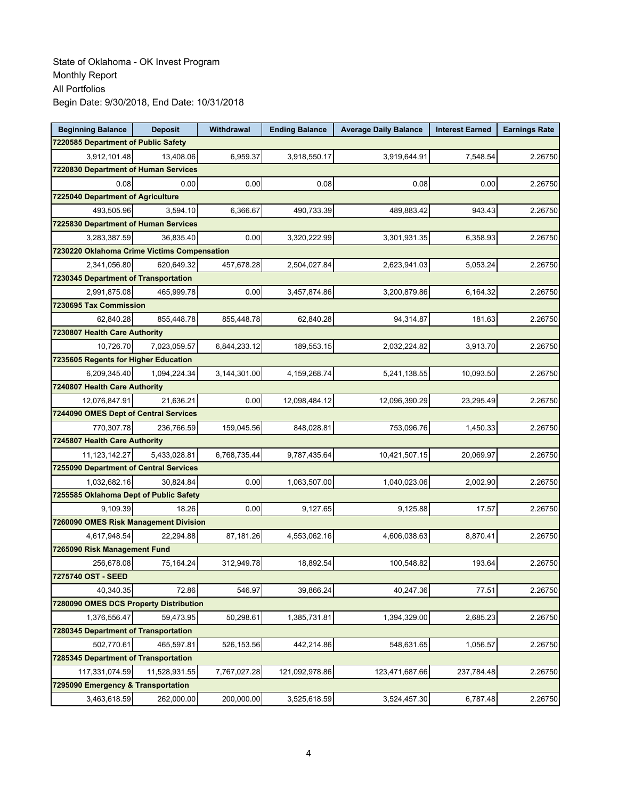| <b>Beginning Balance</b>                    | <b>Deposit</b> | Withdrawal   | <b>Ending Balance</b> | <b>Average Daily Balance</b> | <b>Interest Earned</b> | <b>Earnings Rate</b> |
|---------------------------------------------|----------------|--------------|-----------------------|------------------------------|------------------------|----------------------|
| 7220585 Department of Public Safety         |                |              |                       |                              |                        |                      |
| 3,912,101.48                                | 13,408.06      | 6,959.37     | 3,918,550.17          | 3,919,644.91                 | 7,548.54               | 2.26750              |
| 7220830 Department of Human Services        |                |              |                       |                              |                        |                      |
| 0.08                                        | 0.00           | 0.00         | 0.08                  | 0.08                         | 0.00                   | 2.26750              |
| 7225040 Department of Agriculture           |                |              |                       |                              |                        |                      |
| 493,505.96                                  | 3,594.10       | 6,366.67     | 490,733.39            | 489,883.42                   | 943.43                 | 2.26750              |
| 7225830 Department of Human Services        |                |              |                       |                              |                        |                      |
| 3,283,387.59                                | 36,835.40      | 0.00         | 3,320,222.99          | 3,301,931.35                 | 6,358.93               | 2.26750              |
| 7230220 Oklahoma Crime Victims Compensation |                |              |                       |                              |                        |                      |
| 2,341,056.80                                | 620,649.32     | 457,678.28   | 2,504,027.84          | 2,623,941.03                 | 5,053.24               | 2.26750              |
| 7230345 Department of Transportation        |                |              |                       |                              |                        |                      |
| 2,991,875.08                                | 465,999.78     | 0.00         | 3,457,874.86          | 3,200,879.86                 | 6,164.32               | 2.26750              |
| 7230695 Tax Commission                      |                |              |                       |                              |                        |                      |
| 62,840.28                                   | 855,448.78     | 855,448.78   | 62,840.28             | 94,314.87                    | 181.63                 | 2.26750              |
| 7230807 Health Care Authority               |                |              |                       |                              |                        |                      |
| 10,726.70                                   | 7,023,059.57   | 6,844,233.12 | 189,553.15            | 2,032,224.82                 | 3,913.70               | 2.26750              |
| 7235605 Regents for Higher Education        |                |              |                       |                              |                        |                      |
| 6,209,345.40                                | 1,094,224.34   | 3,144,301.00 | 4,159,268.74          | 5,241,138.55                 | 10,093.50              | 2.26750              |
| 7240807 Health Care Authority               |                |              |                       |                              |                        |                      |
| 12,076,847.91                               | 21,636.21      | 0.00         | 12,098,484.12         | 12,096,390.29                | 23,295.49              | 2.26750              |
| 7244090 OMES Dept of Central Services       |                |              |                       |                              |                        |                      |
| 770,307.78                                  | 236,766.59     | 159,045.56   | 848,028.81            | 753,096.76                   | 1,450.33               | 2.26750              |
| 7245807 Health Care Authority               |                |              |                       |                              |                        |                      |
| 11,123,142.27                               | 5,433,028.81   | 6,768,735.44 | 9,787,435.64          | 10,421,507.15                | 20,069.97              | 2.26750              |
| 7255090 Department of Central Services      |                |              |                       |                              |                        |                      |
| 1,032,682.16                                | 30,824.84      | 0.00         | 1,063,507.00          | 1,040,023.06                 | 2,002.90               | 2.26750              |
| 7255585 Oklahoma Dept of Public Safety      |                |              |                       |                              |                        |                      |
| 9,109.39                                    | 18.26          | 0.00         | 9,127.65              | 9,125.88                     | 17.57                  | 2.26750              |
| 7260090 OMES Risk Management Division       |                |              |                       |                              |                        |                      |
| 4,617,948.54                                | 22,294.88      | 87,181.26    | 4,553,062.16          | 4,606,038.63                 | 8,870.41               | 2.26750              |
| 7265090 Risk Management Fund                |                |              |                       |                              |                        |                      |
| 256,678.08                                  | 75,164.24      | 312,949.78   | 18,892.54             | 100,548.82                   | 193.64                 | 2.26750              |
| 7275740 OST - SEED                          |                |              |                       |                              |                        |                      |
| 40,340.35                                   | 72.86          | 546.97       | 39,866.24             | 40,247.36                    | 77.51                  | 2.26750              |
| 7280090 OMES DCS Property Distribution      |                |              |                       |                              |                        |                      |
| 1,376,556.47                                | 59,473.95      | 50,298.61    | 1,385,731.81          | 1,394,329.00                 | 2,685.23               | 2.26750              |
| 7280345 Department of Transportation        |                |              |                       |                              |                        |                      |
| 502,770.61                                  | 465,597.81     | 526,153.56   | 442,214.86            | 548,631.65                   | 1,056.57               | 2.26750              |
| 7285345 Department of Transportation        |                |              |                       |                              |                        |                      |
| 117,331,074.59                              | 11,528,931.55  | 7,767,027.28 | 121,092,978.86        | 123,471,687.66               | 237,784.48             | 2.26750              |
| 7295090 Emergency & Transportation          |                |              |                       |                              |                        |                      |
| 3,463,618.59                                | 262,000.00     | 200,000.00   | 3,525,618.59          | 3,524,457.30                 | 6,787.48               | 2.26750              |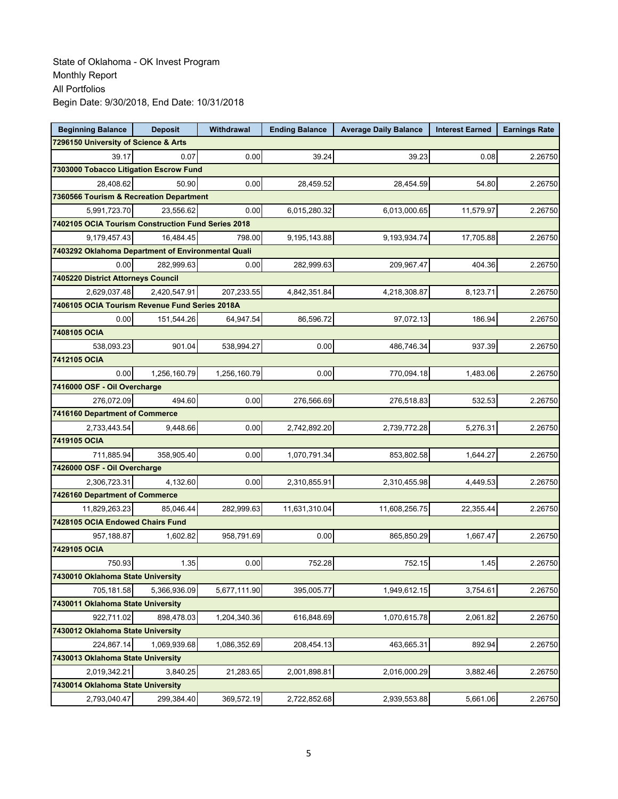| <b>Beginning Balance</b>                           | <b>Deposit</b>                 | Withdrawal   | <b>Ending Balance</b> | <b>Average Daily Balance</b> | <b>Interest Earned</b> | <b>Earnings Rate</b> |  |  |  |
|----------------------------------------------------|--------------------------------|--------------|-----------------------|------------------------------|------------------------|----------------------|--|--|--|
| 7296150 University of Science & Arts               |                                |              |                       |                              |                        |                      |  |  |  |
| 39.17                                              | 0.07                           | 0.00         | 39.24                 | 39.23                        | 0.08                   | 2.26750              |  |  |  |
| 7303000 Tobacco Litigation Escrow Fund             |                                |              |                       |                              |                        |                      |  |  |  |
| 28,408.62                                          | 50.90                          | 0.00         | 28,459.52             | 28,454.59                    | 54.80                  | 2.26750              |  |  |  |
| 7360566 Tourism & Recreation Department            |                                |              |                       |                              |                        |                      |  |  |  |
| 5,991,723.70                                       | 23,556.62                      | 0.00         | 6,015,280.32          | 6,013,000.65                 | 11,579.97              | 2.26750              |  |  |  |
| 7402105 OCIA Tourism Construction Fund Series 2018 |                                |              |                       |                              |                        |                      |  |  |  |
| 9,179,457.43                                       | 16,484.45                      | 798.00       | 9,195,143.88          | 9,193,934.74                 | 17,705.88              | 2.26750              |  |  |  |
| 7403292 Oklahoma Department of Environmental Quali |                                |              |                       |                              |                        |                      |  |  |  |
| 0.00                                               | 282,999.63                     | 0.00         | 282,999.63            | 209,967.47                   | 404.36                 | 2.26750              |  |  |  |
| 7405220 District Attorneys Council                 |                                |              |                       |                              |                        |                      |  |  |  |
| 2,629,037.48                                       | 2,420,547.91                   | 207,233.55   | 4,842,351.84          | 4,218,308.87                 | 8,123.71               | 2.26750              |  |  |  |
| 7406105 OCIA Tourism Revenue Fund Series 2018A     |                                |              |                       |                              |                        |                      |  |  |  |
| 0.00                                               | 151,544.26                     | 64,947.54    | 86,596.72             | 97,072.13                    | 186.94                 | 2.26750              |  |  |  |
| 7408105 OCIA                                       |                                |              |                       |                              |                        |                      |  |  |  |
| 538,093.23                                         | 901.04                         | 538,994.27   | 0.00                  | 486,746.34                   | 937.39                 | 2.26750              |  |  |  |
| 7412105 OCIA                                       |                                |              |                       |                              |                        |                      |  |  |  |
| 0.00                                               | 1,256,160.79                   | 1,256,160.79 | 0.00                  | 770,094.18                   | 1,483.06               | 2.26750              |  |  |  |
| 7416000 OSF - Oil Overcharge                       |                                |              |                       |                              |                        |                      |  |  |  |
| 276,072.09                                         | 494.60                         | 0.00         | 276,566.69            | 276,518.83                   | 532.53                 | 2.26750              |  |  |  |
|                                                    | 7416160 Department of Commerce |              |                       |                              |                        |                      |  |  |  |
| 2,733,443.54                                       | 9,448.66                       | 0.00         | 2,742,892.20          | 2,739,772.28                 | 5,276.31               | 2.26750              |  |  |  |
| 7419105 OCIA                                       |                                |              |                       |                              |                        |                      |  |  |  |
| 711,885.94                                         | 358,905.40                     | 0.00         | 1,070,791.34          | 853,802.58                   | 1,644.27               | 2.26750              |  |  |  |
| 7426000 OSF - Oil Overcharge                       |                                |              |                       |                              |                        |                      |  |  |  |
| 2,306,723.31                                       | 4,132.60                       | 0.00         | 2,310,855.91          | 2,310,455.98                 | 4,449.53               | 2.26750              |  |  |  |
| 7426160 Department of Commerce                     |                                |              |                       |                              |                        |                      |  |  |  |
| 11,829,263.23                                      | 85,046.44                      | 282,999.63   | 11,631,310.04         | 11,608,256.75                | 22,355.44              | 2.26750              |  |  |  |
| 7428105 OCIA Endowed Chairs Fund                   |                                |              |                       |                              |                        |                      |  |  |  |
| 957,188.87                                         | 1,602.82                       | 958,791.69   | 0.00                  | 865,850.29                   | 1,667.47               | 2.26750              |  |  |  |
| 7429105 OCIA                                       |                                |              |                       |                              |                        |                      |  |  |  |
| 750.93                                             | 1.35                           | 0.00         | 752.28                | 752.15                       | 1.45                   | 2.26750              |  |  |  |
| 7430010 Oklahoma State University                  |                                |              |                       |                              |                        |                      |  |  |  |
| 705,181.58                                         | 5,366,936.09                   | 5,677,111.90 | 395,005.77            | 1,949,612.15                 | 3,754.61               | 2.26750              |  |  |  |
| 7430011 Oklahoma State University                  |                                |              |                       |                              |                        |                      |  |  |  |
| 922,711.02                                         | 898,478.03                     | 1,204,340.36 | 616,848.69            | 1,070,615.78                 | 2,061.82               | 2.26750              |  |  |  |
| 7430012 Oklahoma State University                  |                                |              |                       |                              |                        |                      |  |  |  |
| 224,867.14                                         | 1,069,939.68                   | 1,086,352.69 | 208,454.13            | 463,665.31                   | 892.94                 | 2.26750              |  |  |  |
| 7430013 Oklahoma State University                  |                                |              |                       |                              |                        |                      |  |  |  |
| 2,019,342.21                                       | 3,840.25                       | 21,283.65    | 2,001,898.81          | 2,016,000.29                 | 3,882.46               | 2.26750              |  |  |  |
| 7430014 Oklahoma State University                  |                                |              |                       |                              |                        |                      |  |  |  |
| 2,793,040.47                                       | 299,384.40                     | 369,572.19   | 2,722,852.68          | 2,939,553.88                 | 5,661.06               | 2.26750              |  |  |  |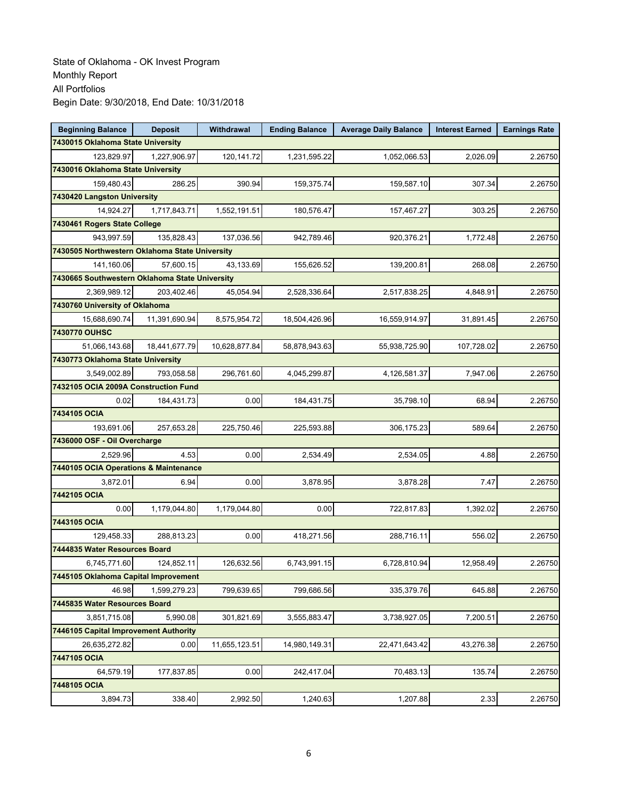| <b>Beginning Balance</b>                       | <b>Deposit</b> | Withdrawal    | <b>Ending Balance</b> | <b>Average Daily Balance</b> | <b>Interest Earned</b> | <b>Earnings Rate</b> |  |  |  |
|------------------------------------------------|----------------|---------------|-----------------------|------------------------------|------------------------|----------------------|--|--|--|
| 7430015 Oklahoma State University              |                |               |                       |                              |                        |                      |  |  |  |
| 123,829.97                                     | 1,227,906.97   | 120, 141.72   | 1,231,595.22          | 1,052,066.53                 | 2,026.09               | 2.26750              |  |  |  |
| 7430016 Oklahoma State University              |                |               |                       |                              |                        |                      |  |  |  |
| 159,480.43                                     | 286.25         | 390.94        | 159,375.74            | 159,587.10                   | 307.34                 | 2.26750              |  |  |  |
| 7430420 Langston University                    |                |               |                       |                              |                        |                      |  |  |  |
| 14,924.27                                      | 1,717,843.71   | 1,552,191.51  | 180,576.47            | 157,467.27                   | 303.25                 | 2.26750              |  |  |  |
| 7430461 Rogers State College                   |                |               |                       |                              |                        |                      |  |  |  |
| 943,997.59                                     | 135,828.43     | 137,036.56    | 942,789.46            | 920,376.21                   | 1,772.48               | 2.26750              |  |  |  |
| 7430505 Northwestern Oklahoma State University |                |               |                       |                              |                        |                      |  |  |  |
| 141,160.06                                     | 57,600.15      | 43,133.69     | 155,626.52            | 139,200.81                   | 268.08                 | 2.26750              |  |  |  |
| 7430665 Southwestern Oklahoma State University |                |               |                       |                              |                        |                      |  |  |  |
| 2,369,989.12                                   | 203,402.46     | 45,054.94     | 2,528,336.64          | 2,517,838.25                 | 4,848.91               | 2.26750              |  |  |  |
| 7430760 University of Oklahoma                 |                |               |                       |                              |                        |                      |  |  |  |
| 15,688,690.74                                  | 11,391,690.94  | 8,575,954.72  | 18,504,426.96         | 16,559,914.97                | 31,891.45              | 2.26750              |  |  |  |
| 7430770 OUHSC                                  |                |               |                       |                              |                        |                      |  |  |  |
| 51,066,143.68                                  | 18,441,677.79  | 10,628,877.84 | 58,878,943.63         | 55,938,725.90                | 107,728.02             | 2.26750              |  |  |  |
| 7430773 Oklahoma State University              |                |               |                       |                              |                        |                      |  |  |  |
| 3,549,002.89                                   | 793,058.58     | 296,761.60    | 4,045,299.87          | 4,126,581.37                 | 7,947.06               | 2.26750              |  |  |  |
| 7432105 OCIA 2009A Construction Fund           |                |               |                       |                              |                        |                      |  |  |  |
| 0.02                                           | 184,431.73     | 0.00          | 184,431.75            | 35,798.10                    | 68.94                  | 2.26750              |  |  |  |
| 7434105 OCIA                                   |                |               |                       |                              |                        |                      |  |  |  |
| 193,691.06                                     | 257,653.28     | 225,750.46    | 225,593.88            | 306,175.23                   | 589.64                 | 2.26750              |  |  |  |
| 7436000 OSF - Oil Overcharge                   |                |               |                       |                              |                        |                      |  |  |  |
| 2,529.96                                       | 4.53           | 0.00          | 2,534.49              | 2,534.05                     | 4.88                   | 2.26750              |  |  |  |
| 7440105 OCIA Operations & Maintenance          |                |               |                       |                              |                        |                      |  |  |  |
| 3,872.01                                       | 6.94           | 0.00          | 3,878.95              | 3,878.28                     | 7.47                   | 2.26750              |  |  |  |
| 7442105 OCIA                                   |                |               |                       |                              |                        |                      |  |  |  |
| 0.00                                           | 1,179,044.80   | 1,179,044.80  | 0.00                  | 722,817.83                   | 1,392.02               | 2.26750              |  |  |  |
| 7443105 OCIA                                   |                |               |                       |                              |                        |                      |  |  |  |
| 129,458.33                                     | 288,813.23     | 0.00          | 418,271.56            | 288,716.11                   | 556.02                 | 2.26750              |  |  |  |
| 7444835 Water Resources Board                  |                |               |                       |                              |                        |                      |  |  |  |
| 6,745,771.60                                   | 124,852.11     | 126,632.56    | 6,743,991.15          | 6,728,810.94                 | 12,958.49              | 2.26750              |  |  |  |
| 7445105 Oklahoma Capital Improvement           |                |               |                       |                              |                        |                      |  |  |  |
| 46.98                                          | 1,599,279.23   | 799,639.65    | 799,686.56            | 335,379.76                   | 645.88                 | 2.26750              |  |  |  |
| 7445835 Water Resources Board                  |                |               |                       |                              |                        |                      |  |  |  |
| 3,851,715.08                                   | 5,990.08       | 301,821.69    | 3,555,883.47          | 3,738,927.05                 | 7,200.51               | 2.26750              |  |  |  |
| 7446105 Capital Improvement Authority          |                |               |                       |                              |                        |                      |  |  |  |
| 26,635,272.82                                  | 0.00           | 11,655,123.51 | 14,980,149.31         | 22,471,643.42                | 43,276.38              | 2.26750              |  |  |  |
| 7447105 OCIA                                   |                |               |                       |                              |                        |                      |  |  |  |
| 64,579.19                                      | 177,837.85     | 0.00          | 242,417.04            | 70,483.13                    | 135.74                 | 2.26750              |  |  |  |
| 7448105 OCIA                                   |                |               |                       |                              |                        |                      |  |  |  |
| 3,894.73                                       | 338.40         | 2,992.50      | 1,240.63              | 1,207.88                     | 2.33                   | 2.26750              |  |  |  |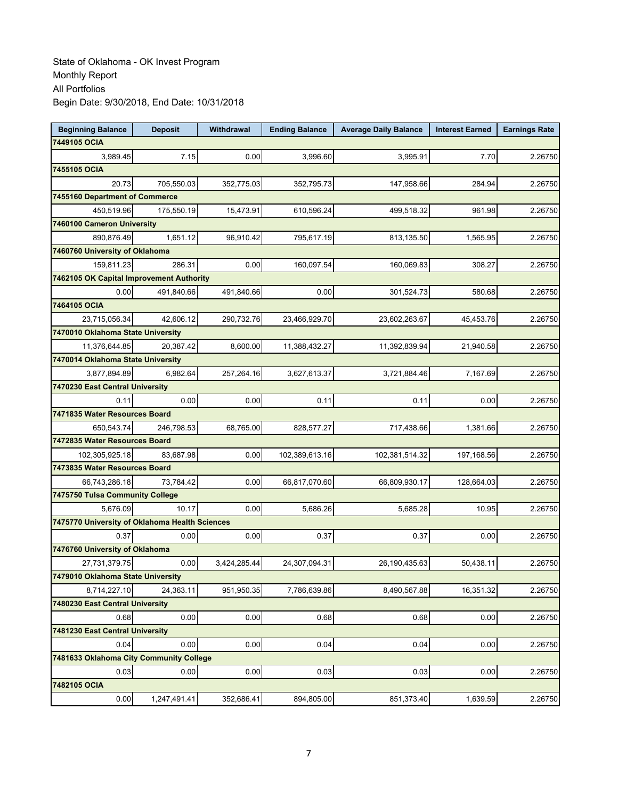| <b>Beginning Balance</b>                       | <b>Deposit</b> | Withdrawal   | <b>Ending Balance</b> | <b>Average Daily Balance</b> | <b>Interest Earned</b> | <b>Earnings Rate</b> |  |  |
|------------------------------------------------|----------------|--------------|-----------------------|------------------------------|------------------------|----------------------|--|--|
| 7449105 OCIA                                   |                |              |                       |                              |                        |                      |  |  |
| 3,989.45                                       | 7.15           | 0.00         | 3,996.60              | 3,995.91                     | 7.70                   | 2.26750              |  |  |
| 7455105 OCIA                                   |                |              |                       |                              |                        |                      |  |  |
| 20.73                                          | 705,550.03     | 352,775.03   | 352,795.73            | 147,958.66                   | 284.94                 | 2.26750              |  |  |
| 7455160 Department of Commerce                 |                |              |                       |                              |                        |                      |  |  |
| 450,519.96                                     | 175,550.19     | 15,473.91    | 610,596.24            | 499,518.32                   | 961.98                 | 2.26750              |  |  |
| 7460100 Cameron University                     |                |              |                       |                              |                        |                      |  |  |
| 890,876.49                                     | 1,651.12       | 96,910.42    | 795,617.19            | 813,135.50                   | 1,565.95               | 2.26750              |  |  |
| 7460760 University of Oklahoma                 |                |              |                       |                              |                        |                      |  |  |
| 159,811.23                                     | 286.31         | 0.00         | 160,097.54            | 160,069.83                   | 308.27                 | 2.26750              |  |  |
| 7462105 OK Capital Improvement Authority       |                |              |                       |                              |                        |                      |  |  |
| 0.00                                           | 491,840.66     | 491,840.66   | 0.00                  | 301,524.73                   | 580.68                 | 2.26750              |  |  |
| 7464105 OCIA                                   |                |              |                       |                              |                        |                      |  |  |
| 23,715,056.34                                  | 42,606.12      | 290,732.76   | 23.466.929.70         | 23,602,263.67                | 45,453.76              | 2.26750              |  |  |
| 7470010 Oklahoma State University              |                |              |                       |                              |                        |                      |  |  |
| 11,376,644.85                                  | 20,387.42      | 8,600.00     | 11,388,432.27         | 11,392,839.94                | 21,940.58              | 2.26750              |  |  |
| 7470014 Oklahoma State University              |                |              |                       |                              |                        |                      |  |  |
| 3,877,894.89                                   | 6.982.64       | 257,264.16   | 3,627,613.37          | 3,721,884.46                 | 7,167.69               | 2.26750              |  |  |
| 7470230 East Central University                |                |              |                       |                              |                        |                      |  |  |
| 0.11                                           | 0.00           | 0.00         | 0.11                  | 0.11                         | 0.00                   | 2.26750              |  |  |
| 7471835 Water Resources Board                  |                |              |                       |                              |                        |                      |  |  |
| 650,543.74                                     | 246,798.53     | 68,765.00    | 828,577.27            | 717,438.66                   | 1,381.66               | 2.26750              |  |  |
| 7472835 Water Resources Board                  |                |              |                       |                              |                        |                      |  |  |
| 102,305,925.18                                 | 83,687.98      | 0.00         | 102,389,613.16        | 102,381,514.32               | 197,168.56             | 2.26750              |  |  |
| 7473835 Water Resources Board                  |                |              |                       |                              |                        |                      |  |  |
| 66,743,286.18                                  | 73,784.42      | 0.00         | 66,817,070.60         | 66,809,930.17                | 128,664.03             | 2.26750              |  |  |
| 7475750 Tulsa Community College                |                |              |                       |                              |                        |                      |  |  |
| 5,676.09                                       | 10.17          | 0.00         | 5,686.26              | 5,685.28                     | 10.95                  | 2.26750              |  |  |
| 7475770 University of Oklahoma Health Sciences |                |              |                       |                              |                        |                      |  |  |
| 0.37                                           | 0.00           | 0.00         | 0.37                  | 0.37                         | 0.00                   | 2.26750              |  |  |
| 7476760 University of Oklahoma                 |                |              |                       |                              |                        |                      |  |  |
| 27,731,379.75                                  | 0.00           | 3,424,285.44 | 24,307,094.31         | 26,190,435.63                | 50,438.11              | 2.26750              |  |  |
| 7479010 Oklahoma State University              |                |              |                       |                              |                        |                      |  |  |
| 8,714,227.10                                   | 24,363.11      | 951,950.35   | 7,786,639.86          | 8,490,567.88                 | 16,351.32              | 2.26750              |  |  |
| 7480230 East Central University                |                |              |                       |                              |                        |                      |  |  |
| 0.68                                           | 0.00           | 0.00         | 0.68                  | 0.68                         | 0.00                   | 2.26750              |  |  |
| 7481230 East Central University                |                |              |                       |                              |                        |                      |  |  |
| 0.04                                           | 0.00           | 0.00         | 0.04                  | 0.04                         | 0.00                   | 2.26750              |  |  |
| 7481633 Oklahoma City Community College        |                |              |                       |                              |                        |                      |  |  |
| 0.03                                           | 0.00           | 0.00         | 0.03                  | 0.03                         | 0.00                   | 2.26750              |  |  |
| 7482105 OCIA                                   |                |              |                       |                              |                        |                      |  |  |
| 0.00                                           | 1,247,491.41   | 352,686.41   | 894,805.00            | 851,373.40                   | 1,639.59               | 2.26750              |  |  |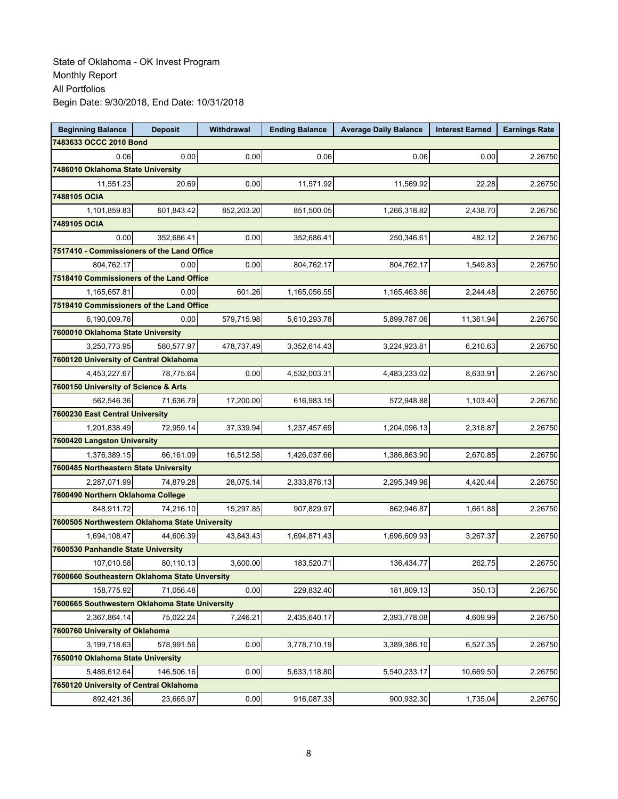| <b>Beginning Balance</b>                       | <b>Deposit</b> | <b>Withdrawal</b> | <b>Ending Balance</b> | <b>Average Daily Balance</b> | <b>Interest Earned</b> | <b>Earnings Rate</b> |
|------------------------------------------------|----------------|-------------------|-----------------------|------------------------------|------------------------|----------------------|
| 7483633 OCCC 2010 Bond                         |                |                   |                       |                              |                        |                      |
| 0.06                                           | 0.00           | 0.00              | 0.06                  | 0.06                         | 0.00                   | 2.26750              |
| 7486010 Oklahoma State University              |                |                   |                       |                              |                        |                      |
| 11,551.23                                      | 20.69          | 0.00              | 11,571.92             | 11,569.92                    | 22.28                  | 2.26750              |
| 7488105 OCIA                                   |                |                   |                       |                              |                        |                      |
| 1,101,859.83                                   | 601,843.42     | 852,203.20        | 851,500.05            | 1,266,318.82                 | 2,438.70               | 2.26750              |
| 7489105 OCIA                                   |                |                   |                       |                              |                        |                      |
| 0.00                                           | 352.686.41     | 0.00              | 352.686.41            | 250,346.61                   | 482.12                 | 2.26750              |
| 7517410 - Commissioners of the Land Office     |                |                   |                       |                              |                        |                      |
| 804,762.17                                     | 0.00           | 0.00              | 804,762.17            | 804,762.17                   | 1,549.83               | 2.26750              |
| 7518410 Commissioners of the Land Office       |                |                   |                       |                              |                        |                      |
| 1,165,657.81                                   | 0.00           | 601.26            | 1,165,056.55          | 1,165,463.86                 | 2,244.48               | 2.26750              |
| 7519410 Commissioners of the Land Office       |                |                   |                       |                              |                        |                      |
| 6,190,009.76                                   | 0.00           | 579,715.98        | 5,610,293.78          | 5,899,787.06                 | 11,361.94              | 2.26750              |
| 7600010 Oklahoma State University              |                |                   |                       |                              |                        |                      |
| 3,250,773.95                                   | 580,577.97     | 478,737.49        | 3,352,614.43          | 3,224,923.81                 | 6,210.63               | 2.26750              |
| 7600120 University of Central Oklahoma         |                |                   |                       |                              |                        |                      |
| 4,453,227.67                                   | 78,775.64      | 0.00              | 4,532,003.31          | 4,483,233.02                 | 8,633.91               | 2.26750              |
| 7600150 University of Science & Arts           |                |                   |                       |                              |                        |                      |
| 562,546.36                                     | 71,636.79      | 17,200.00         | 616,983.15            | 572,948.88                   | 1,103.40               | 2.26750              |
| 7600230 East Central University                |                |                   |                       |                              |                        |                      |
| 1,201,838.49                                   | 72,959.14      | 37,339.94         | 1,237,457.69          | 1,204,096.13                 | 2,318.87               | 2.26750              |
| 7600420 Langston University                    |                |                   |                       |                              |                        |                      |
| 1,376,389.15                                   | 66,161.09      | 16,512.58         | 1,426,037.66          | 1,386,863.90                 | 2,670.85               | 2.26750              |
| 7600485 Northeastern State University          |                |                   |                       |                              |                        |                      |
| 2,287,071.99                                   | 74,879.28      | 28,075.14         | 2,333,876.13          | 2,295,349.96                 | 4,420.44               | 2.26750              |
| 7600490 Northern Oklahoma College              |                |                   |                       |                              |                        |                      |
| 848,911.72                                     | 74,216.10      | 15,297.85         | 907,829.97            | 862,946.87                   | 1,661.88               | 2.26750              |
| 7600505 Northwestern Oklahoma State University |                |                   |                       |                              |                        |                      |
| 1,694,108.47                                   | 44,606.39      | 43,843.43         | 1,694,871.43          | 1,696,609.93                 | 3,267.37               | 2.26750              |
| 7600530 Panhandle State University             |                |                   |                       |                              |                        |                      |
| 107,010.58                                     | 80,110.13      | 3,600.00          | 183.520.71            | 136,434.77                   | 262.75                 | 2.26750              |
| 7600660 Southeastern Oklahoma State Unversity  |                |                   |                       |                              |                        |                      |
| 158,775.92                                     | 71.056.48      | 0.00              | 229,832.40            | 181,809.13                   | 350.13                 | 2.26750              |
| 7600665 Southwestern Oklahoma State University |                |                   |                       |                              |                        |                      |
| 2,367,864.14                                   | 75,022.24      | 7,246.21          | 2,435,640.17          | 2,393,778.08                 | 4.609.99               | 2.26750              |
| 7600760 University of Oklahoma                 |                |                   |                       |                              |                        |                      |
| 3,199,718.63                                   | 578,991.56     | 0.00              | 3,778,710.19          | 3,389,386.10                 | 6,527.35               | 2.26750              |
| 7650010 Oklahoma State University              |                |                   |                       |                              |                        |                      |
| 5,486,612.64                                   | 146,506.16     | 0.00              | 5,633,118.80          | 5,540,233.17                 | 10,669.50              | 2.26750              |
| 7650120 University of Central Oklahoma         |                |                   |                       |                              |                        |                      |
| 892,421.36                                     | 23,665.97      | 0.00              | 916,087.33            | 900,932.30                   | 1,735.04               | 2.26750              |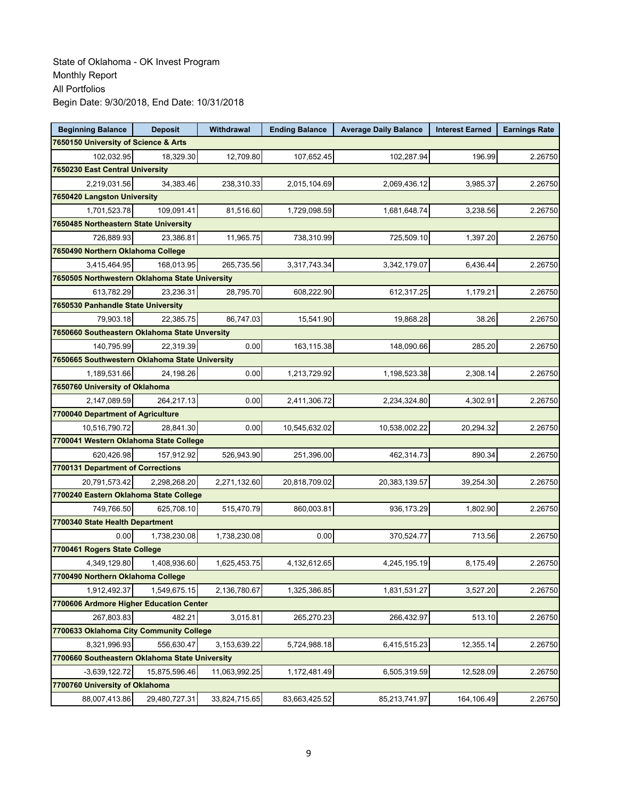| <b>Beginning Balance</b>                       | <b>Deposit</b> | Withdrawal    | <b>Ending Balance</b> | <b>Average Daily Balance</b> | <b>Interest Earned</b> | <b>Earnings Rate</b> |  |  |
|------------------------------------------------|----------------|---------------|-----------------------|------------------------------|------------------------|----------------------|--|--|
| 7650150 University of Science & Arts           |                |               |                       |                              |                        |                      |  |  |
| 102,032.95                                     | 18,329.30      | 12,709.80     | 107,652.45            | 102,287.94                   | 196.99                 | 2.26750              |  |  |
| 7650230 East Central University                |                |               |                       |                              |                        |                      |  |  |
| 2,219,031.56                                   | 34,383.46      | 238,310.33    | 2,015,104.69          | 2,069,436.12                 | 3,985.37               | 2.26750              |  |  |
| 7650420 Langston University                    |                |               |                       |                              |                        |                      |  |  |
| 1,701,523.78                                   | 109,091.41     | 81,516.60     | 1,729,098.59          | 1,681,648.74                 | 3,238.56               | 2.26750              |  |  |
| 7650485 Northeastern State University          |                |               |                       |                              |                        |                      |  |  |
| 726,889.93                                     | 23,386.81      | 11,965.75     | 738,310.99            | 725,509.10                   | 1,397.20               | 2.26750              |  |  |
| 7650490 Northern Oklahoma College              |                |               |                       |                              |                        |                      |  |  |
| 3,415,464.95                                   | 168,013.95     | 265,735.56    | 3,317,743.34          | 3,342,179.07                 | 6,436.44               | 2.26750              |  |  |
| 7650505 Northwestern Oklahoma State University |                |               |                       |                              |                        |                      |  |  |
| 613,782.29                                     | 23,236.31      | 28,795.70     | 608,222.90            | 612,317.25                   | 1,179.21               | 2.26750              |  |  |
| 7650530 Panhandle State University             |                |               |                       |                              |                        |                      |  |  |
| 79,903.18                                      | 22,385.75      | 86,747.03     | 15,541.90             | 19,868.28                    | 38.26                  | 2.26750              |  |  |
| 7650660 Southeastern Oklahoma State Unversity  |                |               |                       |                              |                        |                      |  |  |
| 140,795.99                                     | 22,319.39      | 0.00          | 163,115.38            | 148,090.66                   | 285.20                 | 2.26750              |  |  |
| 7650665 Southwestern Oklahoma State University |                |               |                       |                              |                        |                      |  |  |
| 1,189,531.66                                   | 24,198.26      | 0.00          | 1,213,729.92          | 1,198,523.38                 | 2,308.14               | 2.26750              |  |  |
| 7650760 University of Oklahoma                 |                |               |                       |                              |                        |                      |  |  |
| 2.147.089.59                                   | 264,217.13     | 0.00          | 2,411,306.72          | 2,234,324.80                 | 4,302.91               | 2.26750              |  |  |
| 7700040 Department of Agriculture              |                |               |                       |                              |                        |                      |  |  |
| 10,516,790.72                                  | 28,841.30      | 0.00          | 10,545,632.02         | 10,538,002.22                | 20,294.32              | 2.26750              |  |  |
| 7700041 Western Oklahoma State College         |                |               |                       |                              |                        |                      |  |  |
| 620,426.98                                     | 157,912.92     | 526,943.90    | 251,396.00            | 462,314.73                   | 890.34                 | 2.26750              |  |  |
| 7700131 Department of Corrections              |                |               |                       |                              |                        |                      |  |  |
| 20,791,573.42                                  | 2,298,268.20   | 2,271,132.60  | 20,818,709.02         | 20,383,139.57                | 39,254.30              | 2.26750              |  |  |
| 7700240 Eastern Oklahoma State College         |                |               |                       |                              |                        |                      |  |  |
| 749,766.50                                     | 625,708.10     | 515,470.79    | 860,003.81            | 936,173.29                   | 1,802.90               | 2.26750              |  |  |
| 7700340 State Health Department                |                |               |                       |                              |                        |                      |  |  |
| 0.00                                           | 1,738,230.08   | 1,738,230.08  | 0.00                  | 370,524.77                   | 713.56                 | 2.26750              |  |  |
| 7700461 Rogers State College                   |                |               |                       |                              |                        |                      |  |  |
| 4,349,129.80                                   | 1,408,936.60   | 1,625,453.75  | 4,132,612.65          | 4,245,195.19                 | 8,175.49               | 2.26750              |  |  |
| 7700490 Northern Oklahoma College              |                |               |                       |                              |                        |                      |  |  |
| 1,912,492.37                                   | 1,549,675.15   | 2,136,780.67  | 1,325,386.85          | 1,831,531.27                 | 3,527.20               | 2.26750              |  |  |
| 7700606 Ardmore Higher Education Center        |                |               |                       |                              |                        |                      |  |  |
| 267.803.83                                     | 482.21         | 3,015.81      | 265,270.23            | 266,432.97                   | 513.10                 | 2.26750              |  |  |
| 7700633 Oklahoma City Community College        |                |               |                       |                              |                        |                      |  |  |
| 8,321,996.93                                   | 556,630.47     | 3,153,639.22  | 5,724,988.18          | 6,415,515.23                 | 12,355.14              | 2.26750              |  |  |
| 7700660 Southeastern Oklahoma State University |                |               |                       |                              |                        |                      |  |  |
| $-3,639,122.72$                                | 15,875,596.46  | 11,063,992.25 | 1,172,481.49          | 6,505,319.59                 | 12,528.09              | 2.26750              |  |  |
| 7700760 University of Oklahoma                 |                |               |                       |                              |                        |                      |  |  |
| 88,007,413.86                                  | 29,480,727.31  | 33,824,715.65 | 83,663,425.52         | 85,213,741.97                | 164,106.49             | 2.26750              |  |  |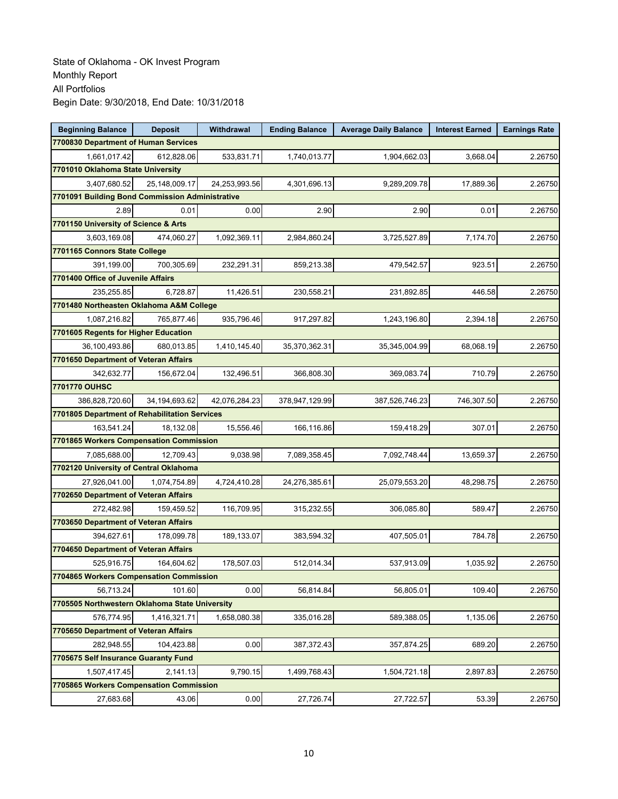| <b>Beginning Balance</b>                        | <b>Deposit</b>   | Withdrawal    | <b>Ending Balance</b> | <b>Average Daily Balance</b> | <b>Interest Earned</b> | <b>Earnings Rate</b> |  |  |
|-------------------------------------------------|------------------|---------------|-----------------------|------------------------------|------------------------|----------------------|--|--|
| 7700830 Department of Human Services            |                  |               |                       |                              |                        |                      |  |  |
| 1,661,017.42                                    | 612,828.06       | 533,831.71    | 1,740,013.77          | 1,904,662.03                 | 3,668.04               | 2.26750              |  |  |
| 7701010 Oklahoma State University               |                  |               |                       |                              |                        |                      |  |  |
| 3,407,680.52                                    | 25,148,009.17    | 24,253,993.56 | 4,301,696.13          | 9,289,209.78                 | 17,889.36              | 2.26750              |  |  |
| 7701091 Building Bond Commission Administrative |                  |               |                       |                              |                        |                      |  |  |
| 2.89                                            | 0.01             | 0.00          | 2.90                  | 2.90                         | 0.01                   | 2.26750              |  |  |
| 7701150 University of Science & Arts            |                  |               |                       |                              |                        |                      |  |  |
| 3,603,169.08                                    | 474,060.27       | 1,092,369.11  | 2,984,860.24          | 3,725,527.89                 | 7,174.70               | 2.26750              |  |  |
| 7701165 Connors State College                   |                  |               |                       |                              |                        |                      |  |  |
| 391,199.00                                      | 700,305.69       | 232,291.31    | 859,213.38            | 479,542.57                   | 923.51                 | 2.26750              |  |  |
| 7701400 Office of Juvenile Affairs              |                  |               |                       |                              |                        |                      |  |  |
| 235,255.85                                      | 6,728.87         | 11,426.51     | 230,558.21            | 231,892.85                   | 446.58                 | 2.26750              |  |  |
| 7701480 Northeasten Oklahoma A&M College        |                  |               |                       |                              |                        |                      |  |  |
| 1,087,216.82                                    | 765,877.46       | 935,796.46    | 917,297.82            | 1,243,196.80                 | 2,394.18               | 2.26750              |  |  |
| 7701605 Regents for Higher Education            |                  |               |                       |                              |                        |                      |  |  |
| 36.100.493.86                                   | 680,013.85       | 1,410,145.40  | 35,370,362.31         | 35,345,004.99                | 68,068.19              | 2.26750              |  |  |
| 7701650 Department of Veteran Affairs           |                  |               |                       |                              |                        |                      |  |  |
| 342,632.77                                      | 156,672.04       | 132,496.51    | 366,808.30            | 369,083.74                   | 710.79                 | 2.26750              |  |  |
| 7701770 OUHSC                                   |                  |               |                       |                              |                        |                      |  |  |
| 386,828,720.60                                  | 34, 194, 693. 62 | 42,076,284.23 | 378,947,129.99        | 387,526,746.23               | 746,307.50             | 2.26750              |  |  |
| 7701805 Department of Rehabilitation Services   |                  |               |                       |                              |                        |                      |  |  |
| 163,541.24                                      | 18,132.08        | 15,556.46     | 166,116.86            | 159,418.29                   | 307.01                 | 2.26750              |  |  |
| 7701865 Workers Compensation Commission         |                  |               |                       |                              |                        |                      |  |  |
| 7,085,688.00                                    | 12,709.43        | 9,038.98      | 7,089,358.45          | 7,092,748.44                 | 13,659.37              | 2.26750              |  |  |
| 7702120 University of Central Oklahoma          |                  |               |                       |                              |                        |                      |  |  |
| 27,926,041.00                                   | 1,074,754.89     | 4,724,410.28  | 24,276,385.61         | 25,079,553.20                | 48,298.75              | 2.26750              |  |  |
| 7702650 Department of Veteran Affairs           |                  |               |                       |                              |                        |                      |  |  |
| 272,482.98                                      | 159,459.52       | 116,709.95    | 315,232.55            | 306,085.80                   | 589.47                 | 2.26750              |  |  |
| 7703650 Department of Veteran Affairs           |                  |               |                       |                              |                        |                      |  |  |
| 394,627.61                                      | 178,099.78       | 189,133.07    | 383,594.32            | 407,505.01                   | 784.78                 | 2.26750              |  |  |
| 7704650 Department of Veteran Affairs           |                  |               |                       |                              |                        |                      |  |  |
| 525,916.75                                      | 164,604.62       | 178,507.03    | 512,014.34            | 537,913.09                   | 1,035.92               | 2.26750              |  |  |
| 7704865 Workers Compensation Commission         |                  |               |                       |                              |                        |                      |  |  |
| 56,713.24                                       | 101.60           | 0.00          | 56,814.84             | 56,805.01                    | 109.40                 | 2.26750              |  |  |
| 7705505 Northwestern Oklahoma State University  |                  |               |                       |                              |                        |                      |  |  |
| 576,774.95                                      | 1,416,321.71     | 1,658,080.38  | 335,016.28            | 589,388.05                   | 1,135.06               | 2.26750              |  |  |
| 7705650 Department of Veteran Affairs           |                  |               |                       |                              |                        |                      |  |  |
| 282,948.55                                      | 104,423.88       | 0.00          | 387,372.43            | 357,874.25                   | 689.20                 | 2.26750              |  |  |
| 7705675 Self Insurance Guaranty Fund            |                  |               |                       |                              |                        |                      |  |  |
| 1,507,417.45                                    | 2,141.13         | 9,790.15      | 1,499,768.43          | 1,504,721.18                 | 2,897.83               | 2.26750              |  |  |
| 7705865 Workers Compensation Commission         |                  |               |                       |                              |                        |                      |  |  |
| 27,683.68                                       | 43.06            | 0.00          | 27,726.74             | 27,722.57                    | 53.39                  | 2.26750              |  |  |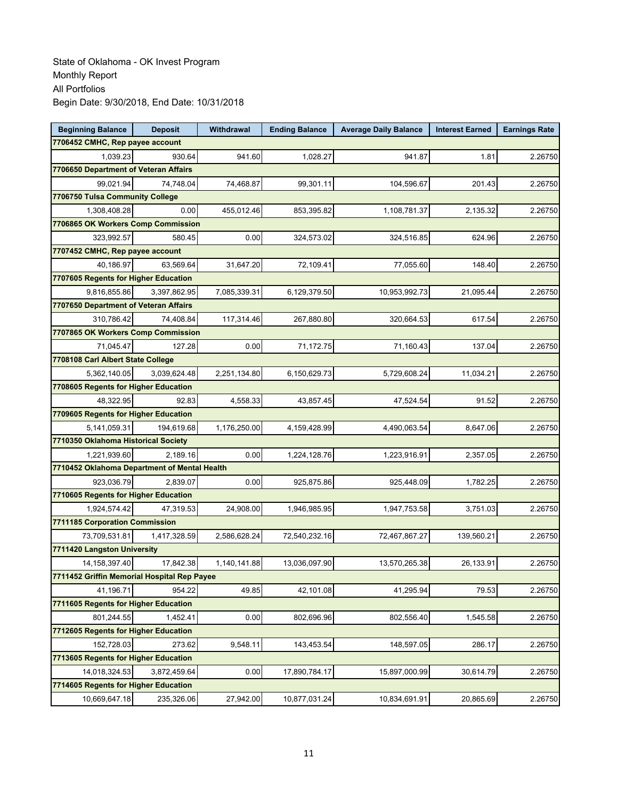| <b>Beginning Balance</b>                     | <b>Deposit</b> | Withdrawal   | <b>Ending Balance</b> | <b>Average Daily Balance</b> | <b>Interest Earned</b> | <b>Earnings Rate</b> |
|----------------------------------------------|----------------|--------------|-----------------------|------------------------------|------------------------|----------------------|
| 7706452 CMHC, Rep payee account              |                |              |                       |                              |                        |                      |
| 1,039.23                                     | 930.64         | 941.60       | 1,028.27              | 941.87                       | 1.81                   | 2.26750              |
| 7706650 Department of Veteran Affairs        |                |              |                       |                              |                        |                      |
| 99,021.94                                    | 74,748.04      | 74,468.87    | 99,301.11             | 104,596.67                   | 201.43                 | 2.26750              |
| 7706750 Tulsa Community College              |                |              |                       |                              |                        |                      |
| 1,308,408.28                                 | 0.00           | 455,012.46   | 853,395.82            | 1,108,781.37                 | 2,135.32               | 2.26750              |
| 7706865 OK Workers Comp Commission           |                |              |                       |                              |                        |                      |
| 323,992.57                                   | 580.45         | 0.00         | 324,573.02            | 324,516.85                   | 624.96                 | 2.26750              |
| 7707452 CMHC, Rep payee account              |                |              |                       |                              |                        |                      |
| 40,186.97                                    | 63,569.64      | 31,647.20    | 72,109.41             | 77,055.60                    | 148.40                 | 2.26750              |
| 7707605 Regents for Higher Education         |                |              |                       |                              |                        |                      |
| 9,816,855.86                                 | 3,397,862.95   | 7,085,339.31 | 6,129,379.50          | 10,953,992.73                | 21,095.44              | 2.26750              |
| 7707650 Department of Veteran Affairs        |                |              |                       |                              |                        |                      |
| 310,786.42                                   | 74,408.84      | 117,314.46   | 267,880.80            | 320,664.53                   | 617.54                 | 2.26750              |
| 7707865 OK Workers Comp Commission           |                |              |                       |                              |                        |                      |
| 71,045.47                                    | 127.28         | 0.00         | 71,172.75             | 71,160.43                    | 137.04                 | 2.26750              |
| 7708108 Carl Albert State College            |                |              |                       |                              |                        |                      |
| 5,362,140.05                                 | 3.039.624.48   | 2,251,134.80 | 6,150,629.73          | 5,729,608.24                 | 11,034.21              | 2.26750              |
| 7708605 Regents for Higher Education         |                |              |                       |                              |                        |                      |
| 48,322.95                                    | 92.83          | 4,558.33     | 43,857.45             | 47,524.54                    | 91.52                  | 2.26750              |
| 7709605 Regents for Higher Education         |                |              |                       |                              |                        |                      |
| 5,141,059.31                                 | 194,619.68     | 1,176,250.00 | 4,159,428.99          | 4,490,063.54                 | 8,647.06               | 2.26750              |
| 7710350 Oklahoma Historical Society          |                |              |                       |                              |                        |                      |
| 1,221,939.60                                 | 2,189.16       | 0.00         | 1,224,128.76          | 1,223,916.91                 | 2,357.05               | 2.26750              |
| 7710452 Oklahoma Department of Mental Health |                |              |                       |                              |                        |                      |
| 923,036.79                                   | 2,839.07       | 0.00         | 925,875.86            | 925,448.09                   | 1,782.25               | 2.26750              |
| 7710605 Regents for Higher Education         |                |              |                       |                              |                        |                      |
| 1,924,574.42                                 | 47,319.53      | 24,908.00    | 1,946,985.95          | 1,947,753.58                 | 3,751.03               | 2.26750              |
| 7711185 Corporation Commission               |                |              |                       |                              |                        |                      |
| 73,709,531.81                                | 1,417,328.59   | 2,586,628.24 | 72,540,232.16         | 72,467,867.27                | 139,560.21             | 2.26750              |
| 7711420 Langston University                  |                |              |                       |                              |                        |                      |
| 14, 158, 397. 40                             | 17,842.38      | 1,140,141.88 | 13,036,097.90         | 13,570,265.38                | 26.133.91              | 2.26750              |
| 7711452 Griffin Memorial Hospital Rep Payee  |                |              |                       |                              |                        |                      |
| 41,196.71                                    | 954.22         | 49.85        | 42,101.08             | 41,295.94                    | 79.53                  | 2.26750              |
| 7711605 Regents for Higher Education         |                |              |                       |                              |                        |                      |
| 801,244.55                                   | 1,452.41       | 0.00         | 802,696.96            | 802,556.40                   | 1,545.58               | 2.26750              |
| 7712605 Regents for Higher Education         |                |              |                       |                              |                        |                      |
| 152,728.03                                   | 273.62         | 9,548.11     | 143,453.54            | 148,597.05                   | 286.17                 | 2.26750              |
| 7713605 Regents for Higher Education         |                |              |                       |                              |                        |                      |
| 14,018,324.53                                | 3,872,459.64   | 0.00         | 17,890,784.17         | 15,897,000.99                | 30,614.79              | 2.26750              |
| 7714605 Regents for Higher Education         |                |              |                       |                              |                        |                      |
| 10,669,647.18                                | 235,326.06     | 27,942.00    | 10,877,031.24         | 10,834,691.91                | 20,865.69              | 2.26750              |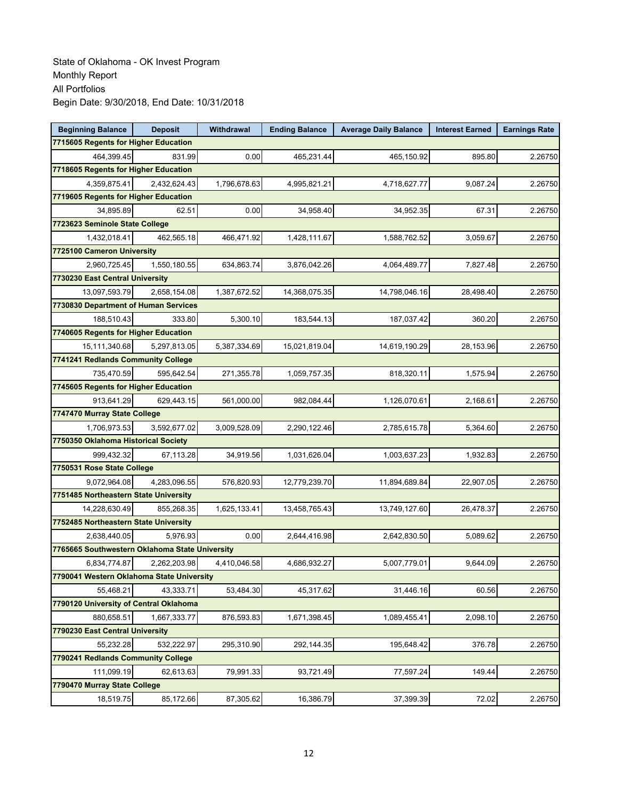| <b>Beginning Balance</b>                       | <b>Deposit</b>               | Withdrawal   | <b>Ending Balance</b> | <b>Average Daily Balance</b> | <b>Interest Earned</b> | <b>Earnings Rate</b> |  |  |
|------------------------------------------------|------------------------------|--------------|-----------------------|------------------------------|------------------------|----------------------|--|--|
| 7715605 Regents for Higher Education           |                              |              |                       |                              |                        |                      |  |  |
| 464,399.45                                     | 831.99                       | 0.00         | 465,231.44            | 465,150.92                   | 895.80                 | 2.26750              |  |  |
| 7718605 Regents for Higher Education           |                              |              |                       |                              |                        |                      |  |  |
| 4,359,875.41                                   | 2,432,624.43                 | 1,796,678.63 | 4,995,821.21          | 4,718,627.77                 | 9,087.24               | 2.26750              |  |  |
| 7719605 Regents for Higher Education           |                              |              |                       |                              |                        |                      |  |  |
| 34,895.89                                      | 62.51                        | 0.00         | 34,958.40             | 34,952.35                    | 67.31                  | 2.26750              |  |  |
| 7723623 Seminole State College                 |                              |              |                       |                              |                        |                      |  |  |
| 1,432,018.41                                   | 462,565.18                   | 466,471.92   | 1,428,111.67          | 1,588,762.52                 | 3,059.67               | 2.26750              |  |  |
| 7725100 Cameron University                     |                              |              |                       |                              |                        |                      |  |  |
| 2,960,725.45                                   | 1,550,180.55                 | 634,863.74   | 3,876,042.26          | 4,064,489.77                 | 7,827.48               | 2.26750              |  |  |
| 7730230 East Central University                |                              |              |                       |                              |                        |                      |  |  |
| 13,097,593.79                                  | 2,658,154.08                 | 1,387,672.52 | 14,368,075.35         | 14,798,046.16                | 28,498.40              | 2.26750              |  |  |
| 7730830 Department of Human Services           |                              |              |                       |                              |                        |                      |  |  |
| 188,510.43                                     | 333.80                       | 5,300.10     | 183,544.13            | 187,037.42                   | 360.20                 | 2.26750              |  |  |
| 7740605 Regents for Higher Education           |                              |              |                       |                              |                        |                      |  |  |
| 15,111,340.68                                  | 5,297,813.05                 | 5,387,334.69 | 15,021,819.04         | 14,619,190.29                | 28,153.96              | 2.26750              |  |  |
| 7741241 Redlands Community College             |                              |              |                       |                              |                        |                      |  |  |
| 735,470.59                                     | 595,642.54                   | 271,355.78   | 1,059,757.35          | 818,320.11                   | 1,575.94               | 2.26750              |  |  |
| 7745605 Regents for Higher Education           |                              |              |                       |                              |                        |                      |  |  |
| 913.641.29                                     | 629,443.15                   | 561,000.00   | 982,084.44            | 1,126,070.61                 | 2,168.61               | 2.26750              |  |  |
|                                                | 7747470 Murray State College |              |                       |                              |                        |                      |  |  |
| 1,706,973.53                                   | 3,592,677.02                 | 3,009,528.09 | 2,290,122.46          | 2,785,615.78                 | 5,364.60               | 2.26750              |  |  |
| 7750350 Oklahoma Historical Society            |                              |              |                       |                              |                        |                      |  |  |
| 999,432.32                                     | 67,113.28                    | 34,919.56    | 1,031,626.04          | 1,003,637.23                 | 1,932.83               | 2.26750              |  |  |
| 7750531 Rose State College                     |                              |              |                       |                              |                        |                      |  |  |
| 9,072,964.08                                   | 4,283,096.55                 | 576,820.93   | 12,779,239.70         | 11,894,689.84                | 22,907.05              | 2.26750              |  |  |
| 7751485 Northeastern State University          |                              |              |                       |                              |                        |                      |  |  |
| 14,228,630.49                                  | 855,268.35                   | 1,625,133.41 | 13,458,765.43         | 13,749,127.60                | 26,478.37              | 2.26750              |  |  |
| 7752485 Northeastern State University          |                              |              |                       |                              |                        |                      |  |  |
| 2,638,440.05                                   | 5,976.93                     | 0.00         | 2,644,416.98          | 2,642,830.50                 | 5,089.62               | 2.26750              |  |  |
| 7765665 Southwestern Oklahoma State University |                              |              |                       |                              |                        |                      |  |  |
| 6,834,774.87                                   | 2,262,203.98                 | 4,410,046.58 | 4,686,932.27          | 5,007,779.01                 | 9,644.09               | 2.26750              |  |  |
| 7790041 Western Oklahoma State University      |                              |              |                       |                              |                        |                      |  |  |
| 55,468.21                                      | 43,333.71                    | 53,484.30    | 45,317.62             | 31,446.16                    | 60.56                  | 2.26750              |  |  |
| 7790120 University of Central Oklahoma         |                              |              |                       |                              |                        |                      |  |  |
| 880,658.51                                     | 1,667,333.77                 | 876,593.83   | 1,671,398.45          | 1,089,455.41                 | 2,098.10               | 2.26750              |  |  |
| 7790230 East Central University                |                              |              |                       |                              |                        |                      |  |  |
| 55,232.28                                      | 532,222.97                   | 295,310.90   | 292,144.35            | 195,648.42                   | 376.78                 | 2.26750              |  |  |
| 7790241 Redlands Community College             |                              |              |                       |                              |                        |                      |  |  |
| 111,099.19                                     | 62,613.63                    | 79,991.33    | 93,721.49             | 77,597.24                    | 149.44                 | 2.26750              |  |  |
| 7790470 Murray State College                   |                              |              |                       |                              |                        |                      |  |  |
| 18,519.75                                      | 85,172.66                    | 87,305.62    | 16,386.79             | 37,399.39                    | 72.02                  | 2.26750              |  |  |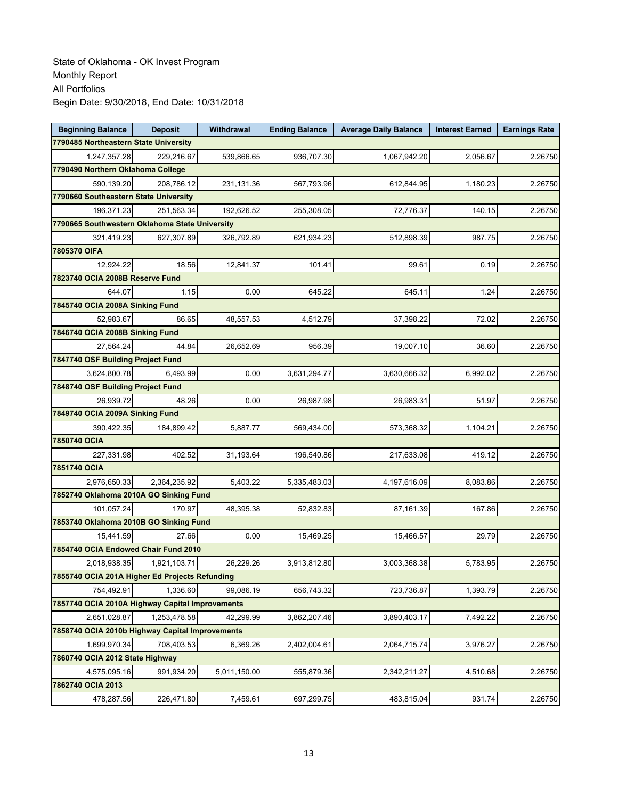| <b>Beginning Balance</b>                        | <b>Deposit</b> | Withdrawal   | <b>Ending Balance</b> | <b>Average Daily Balance</b> | <b>Interest Earned</b> | <b>Earnings Rate</b> |  |  |  |  |
|-------------------------------------------------|----------------|--------------|-----------------------|------------------------------|------------------------|----------------------|--|--|--|--|
| 7790485 Northeastern State University           |                |              |                       |                              |                        |                      |  |  |  |  |
| 1,247,357.28                                    | 229,216.67     | 539,866.65   | 936,707.30            | 1,067,942.20                 | 2,056.67               | 2.26750              |  |  |  |  |
| 7790490 Northern Oklahoma College               |                |              |                       |                              |                        |                      |  |  |  |  |
| 590,139.20                                      | 208,786.12     | 231,131.36   | 567,793.96            | 612,844.95                   | 1,180.23               | 2.26750              |  |  |  |  |
| 7790660 Southeastern State University           |                |              |                       |                              |                        |                      |  |  |  |  |
| 196,371.23                                      | 251,563.34     | 192,626.52   | 255,308.05            | 72,776.37                    | 140.15                 | 2.26750              |  |  |  |  |
| 7790665 Southwestern Oklahoma State University  |                |              |                       |                              |                        |                      |  |  |  |  |
| 321,419.23                                      | 627,307.89     | 326,792.89   | 621,934.23            | 512,898.39                   | 987.75                 | 2.26750              |  |  |  |  |
| 7805370 OIFA                                    |                |              |                       |                              |                        |                      |  |  |  |  |
| 12.924.22                                       | 18.56          | 12,841.37    | 101.41                | 99.61                        | 0.19                   | 2.26750              |  |  |  |  |
| 7823740 OCIA 2008B Reserve Fund                 |                |              |                       |                              |                        |                      |  |  |  |  |
| 644.07                                          | 1.15           | 0.00         | 645.22                | 645.11                       | 1.24                   | 2.26750              |  |  |  |  |
| 7845740 OCIA 2008A Sinking Fund                 |                |              |                       |                              |                        |                      |  |  |  |  |
| 52,983.67                                       | 86.65          | 48,557.53    | 4,512.79              | 37,398.22                    | 72.02                  | 2.26750              |  |  |  |  |
| 7846740 OCIA 2008B Sinking Fund                 |                |              |                       |                              |                        |                      |  |  |  |  |
| 27,564.24                                       | 44.84          | 26,652.69    | 956.39                | 19,007.10                    | 36.60                  | 2.26750              |  |  |  |  |
| 7847740 OSF Building Project Fund               |                |              |                       |                              |                        |                      |  |  |  |  |
| 3,624,800.78                                    | 6,493.99       | 0.00         | 3,631,294.77          | 3,630,666.32                 | 6,992.02               | 2.26750              |  |  |  |  |
| 7848740 OSF Building Project Fund               |                |              |                       |                              |                        |                      |  |  |  |  |
| 26,939.72                                       | 48.26          | 0.00         | 26,987.98             | 26,983.31                    | 51.97                  | 2.26750              |  |  |  |  |
| 7849740 OCIA 2009A Sinking Fund                 |                |              |                       |                              |                        |                      |  |  |  |  |
| 390,422.35                                      | 184,899.42     | 5,887.77     | 569,434.00            | 573,368.32                   | 1,104.21               | 2.26750              |  |  |  |  |
| 7850740 OCIA                                    |                |              |                       |                              |                        |                      |  |  |  |  |
| 227,331.98                                      | 402.52         | 31,193.64    | 196,540.86            | 217,633.08                   | 419.12                 | 2.26750              |  |  |  |  |
| 7851740 OCIA                                    |                |              |                       |                              |                        |                      |  |  |  |  |
| 2,976,650.33                                    | 2,364,235.92   | 5,403.22     | 5,335,483.03          | 4,197,616.09                 | 8,083.86               | 2.26750              |  |  |  |  |
| 7852740 Oklahoma 2010A GO Sinking Fund          |                |              |                       |                              |                        |                      |  |  |  |  |
| 101,057.24                                      | 170.97         | 48,395.38    | 52,832.83             | 87,161.39                    | 167.86                 | 2.26750              |  |  |  |  |
| 7853740 Oklahoma 2010B GO Sinking Fund          |                |              |                       |                              |                        |                      |  |  |  |  |
| 15,441.59                                       | 27.66          | 0.00         | 15,469.25             | 15,466.57                    | 29.79                  | 2.26750              |  |  |  |  |
| 7854740 OCIA Endowed Chair Fund 2010            |                |              |                       |                              |                        |                      |  |  |  |  |
| 2,018,938.35                                    | 1,921,103.71   | 26,229.26    | 3,913,812.80          | 3,003,368.38                 | 5,783.95               | 2.26750              |  |  |  |  |
| 7855740 OCIA 201A Higher Ed Projects Refunding  |                |              |                       |                              |                        |                      |  |  |  |  |
| 754,492.91                                      | 1,336.60       | 99,086.19    | 656,743.32            | 723,736.87                   | 1,393.79               | 2.26750              |  |  |  |  |
| 7857740 OCIA 2010A Highway Capital Improvements |                |              |                       |                              |                        |                      |  |  |  |  |
| 2,651,028.87                                    | 1,253,478.58   | 42,299.99    | 3,862,207.46          | 3,890,403.17                 | 7,492.22               | 2.26750              |  |  |  |  |
| 7858740 OCIA 2010b Highway Capital Improvements |                |              |                       |                              |                        |                      |  |  |  |  |
| 1,699,970.34                                    | 708,403.53     | 6,369.26     | 2,402,004.61          | 2,064,715.74                 | 3,976.27               | 2.26750              |  |  |  |  |
| 7860740 OCIA 2012 State Highway                 |                |              |                       |                              |                        |                      |  |  |  |  |
| 4,575,095.16                                    | 991,934.20     | 5,011,150.00 | 555,879.36            | 2,342,211.27                 | 4,510.68               | 2.26750              |  |  |  |  |
| 7862740 OCIA 2013                               |                |              |                       |                              |                        |                      |  |  |  |  |
| 478,287.56                                      | 226,471.80     | 7,459.61     | 697,299.75            | 483,815.04                   | 931.74                 | 2.26750              |  |  |  |  |